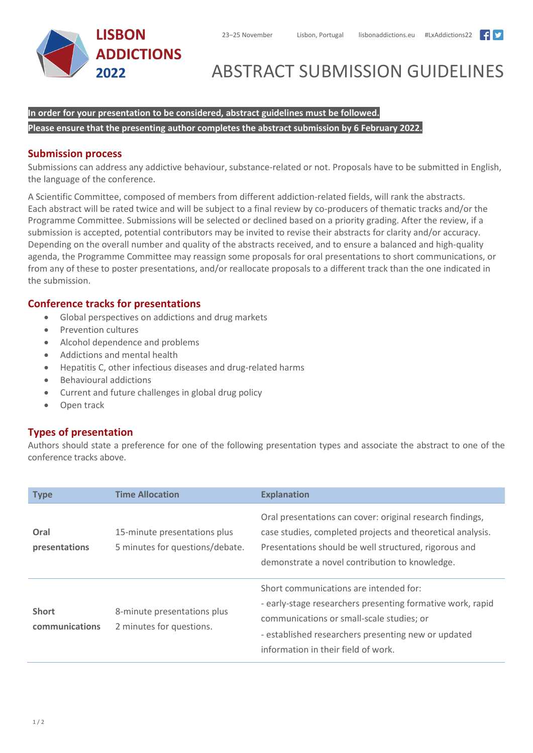



# ABSTRACT SUBMISSION GUIDELINES

**In order for your presentation to be considered, abstract guidelines must be followed. Please ensure that the presenting author completes the abstract submission by 6 February 2022.**

### **Submission process**

Submissions can address any addictive behaviour, substance-related or not. Proposals have to be submitted in English, the language of the conference.

A Scientific Committee, composed of members from different addiction-related fields, will rank the abstracts. Each abstract will be rated twice and will be subject to a final review by co-producers of thematic tracks and/or the Programme Committee. Submissions will be selected or declined based on a priority grading. After the review, if a submission is accepted, potential contributors may be invited to revise their abstracts for clarity and/or accuracy. Depending on the overall number and quality of the abstracts received, and to ensure a balanced and high-quality agenda, the Programme Committee may reassign some proposals for oral presentations to short communications, or from any of these to poster presentations, and/or reallocate proposals to a different track than the one indicated in the submission.

## **Conference tracks for presentations**

- Global perspectives on addictions and drug markets
- Prevention cultures
- Alcohol dependence and problems
- Addictions and mental health
- Hepatitis C, other infectious diseases and drug-related harms
- Behavioural addictions
- Current and future challenges in global drug policy
- Open track

# **Types of presentation**

Authors should state a preference for one of the following presentation types and associate the abstract to one of the conference tracks above.

| <b>Type</b>                    | <b>Time Allocation</b>                                          | <b>Explanation</b>                                                                                                                                                                                                                              |
|--------------------------------|-----------------------------------------------------------------|-------------------------------------------------------------------------------------------------------------------------------------------------------------------------------------------------------------------------------------------------|
| Oral<br>presentations          | 15-minute presentations plus<br>5 minutes for questions/debate. | Oral presentations can cover: original research findings,<br>case studies, completed projects and theoretical analysis.<br>Presentations should be well structured, rigorous and<br>demonstrate a novel contribution to knowledge.              |
| <b>Short</b><br>communications | 8-minute presentations plus<br>2 minutes for questions.         | Short communications are intended for:<br>- early-stage researchers presenting formative work, rapid<br>communications or small-scale studies; or<br>- established researchers presenting new or updated<br>information in their field of work. |